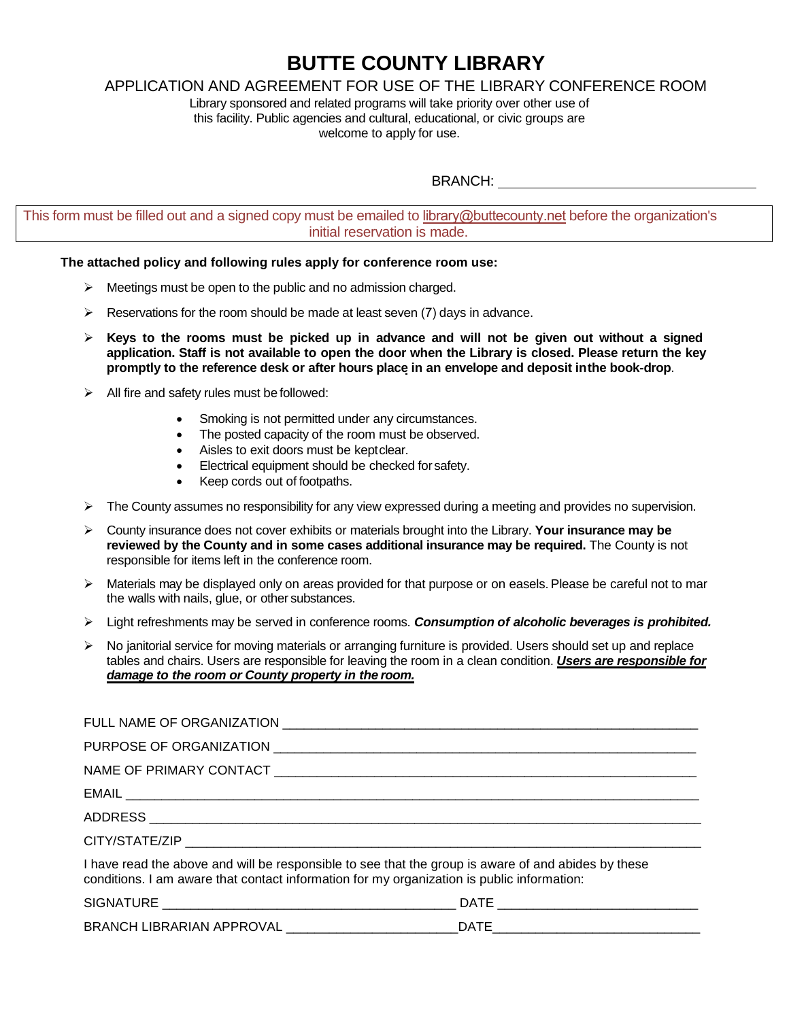### **BUTTE COUNTY LIBRARY**

### APPLICATION AND AGREEMENT FOR USE OF THE LIBRARY CONFERENCE ROOM

Library sponsored and related programs will take priority over other use of this facility. Public agencies and cultural, educational, or civic groups are welcome to apply for use.

BRANCH:

This form must be filled out and a signed copy must be emailed to library@buttecounty.net before the organization's initial reservation is made.

#### **The attached policy and following rules apply for conference room use:**

- $\triangleright$  Meetings must be open to the public and no admission charged.
- $\triangleright$  Reservations for the room should be made at least seven (7) days in advance.
- **Keys to the rooms must be picked up in advance and will not be given out without a signed application. Staff is not available to open the door when the Library is closed. Please return the key promptly to the reference desk or after hours place in an envelope and deposit inthe book-drop**.
- $\triangleright$  All fire and safety rules must be followed:
	- Smoking is not permitted under any circumstances.
	- The posted capacity of the room must be observed.
	- Aisles to exit doors must be keptclear.
	- Electrical equipment should be checked for safety.
	- Keep cords out of footpaths.
- $\triangleright$  The County assumes no responsibility for any view expressed during a meeting and provides no supervision.
- County insurance does not cover exhibits or materials brought into the Library. **Your insurance may be reviewed by the County and in some cases additional insurance may be required.** The County is not responsible for items left in the conference room.
- $\triangleright$  Materials may be displayed only on areas provided for that purpose or on easels. Please be careful not to mar the walls with nails, glue, or other substances.
- Light refreshments may be served in conference rooms. *Consumption of alcoholic beverages is prohibited.*
- $\triangleright$  No janitorial service for moving materials or arranging furniture is provided. Users should set up and replace tables and chairs. Users are responsible for leaving the room in a clean condition. *Users are responsible for damage to the room or County property in the room.*

| I have read the above and will be responsible to see that the group is aware of and abides by these<br>conditions. I am aware that contact information for my organization is public information: |             |
|---------------------------------------------------------------------------------------------------------------------------------------------------------------------------------------------------|-------------|
| <b>CIONATILIDE</b>                                                                                                                                                                                | <b>DATE</b> |

| ---<br><b>CIL</b><br>``                                                                                     | ^ ^<br>. |  |
|-------------------------------------------------------------------------------------------------------------|----------|--|
| <b>RR</b><br>$\wedge$ $\wedge$ $\wedge$ $\wedge$ $\wedge$ $\wedge$<br>12 D A D<br>◝┕<br>١N٠<br>NK<br>.<br>∼ |          |  |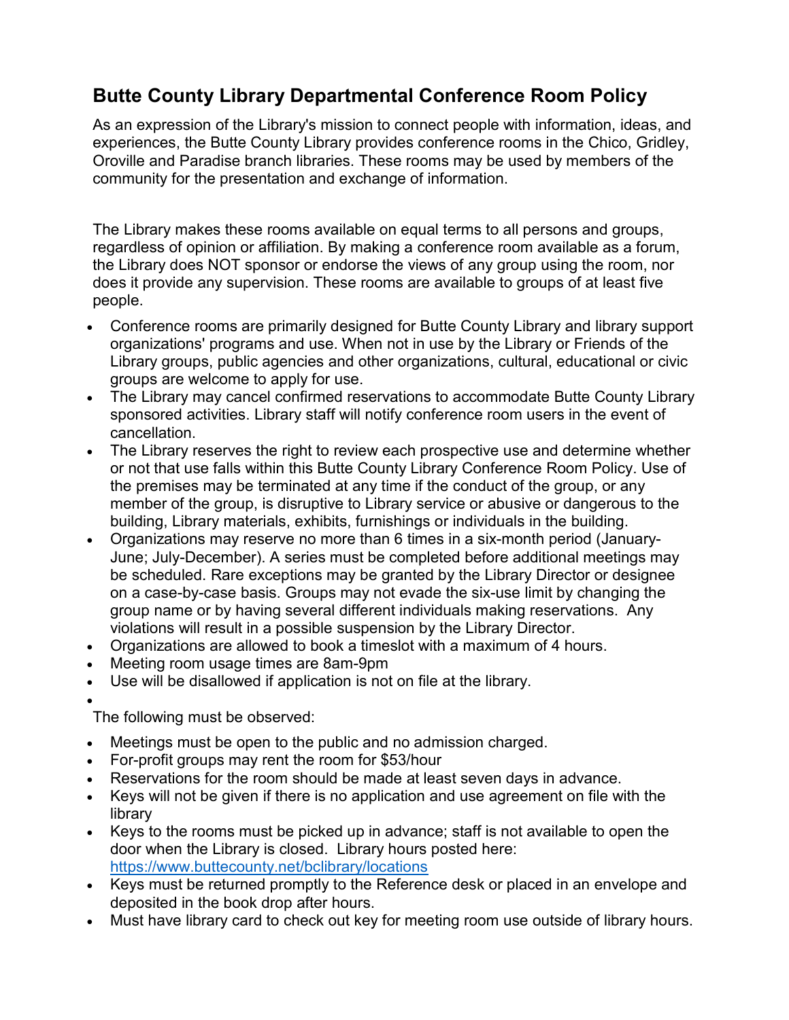## Butte County Library Departmental Conference Room Policy

As an expression of the Library's mission to connect people with information, ideas, and experiences, the Butte County Library provides conference rooms in the Chico, Gridley, Oroville and Paradise branch libraries. These rooms may be used by members of the community for the presentation and exchange of information.

The Library makes these rooms available on equal terms to all persons and groups, regardless of opinion or affiliation. By making a conference room available as a forum, the Library does NOT sponsor or endorse the views of any group using the room, nor does it provide any supervision. These rooms are available to groups of at least five people.

- Conference rooms are primarily designed for Butte County Library and library support organizations' programs and use. When not in use by the Library or Friends of the Library groups, public agencies and other organizations, cultural, educational or civic groups are welcome to apply for use.
- The Library may cancel confirmed reservations to accommodate Butte County Library sponsored activities. Library staff will notify conference room users in the event of cancellation.
- The Library reserves the right to review each prospective use and determine whether or not that use falls within this Butte County Library Conference Room Policy. Use of the premises may be terminated at any time if the conduct of the group, or any member of the group, is disruptive to Library service or abusive or dangerous to the building, Library materials, exhibits, furnishings or individuals in the building.
- Organizations may reserve no more than 6 times in a six-month period (January-June; July-December). A series must be completed before additional meetings may be scheduled. Rare exceptions may be granted by the Library Director or designee on a case-by-case basis. Groups may not evade the six-use limit by changing the group name or by having several different individuals making reservations. Any violations will result in a possible suspension by the Library Director.
- Organizations are allowed to book a timeslot with a maximum of 4 hours.
- Meeting room usage times are 8am-9pm
- Use will be disallowed if application is not on file at the library.

 $\bullet$ The following must be observed:

- Meetings must be open to the public and no admission charged.
- For-profit groups may rent the room for \$53/hour
- Reservations for the room should be made at least seven days in advance.
- Keys will not be given if there is no application and use agreement on file with the library
- Keys to the rooms must be picked up in advance; staff is not available to open the door when the Library is closed. Library hours posted here: https://www.buttecounty.net/bclibrary/locations
- Keys must be returned promptly to the Reference desk or placed in an envelope and deposited in the book drop after hours.
- Must have library card to check out key for meeting room use outside of library hours.